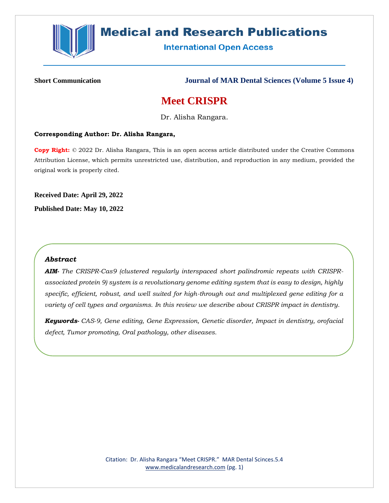

# **Medical and Research Publications**

**International Open Access** 

**Short Communication Journal of MAR Dental Sciences (Volume 5 Issue 4)**

# **Meet CRISPR**

Dr. Alisha Rangara.

#### **Corresponding Author: Dr. Alisha Rangara,**

**Copy Right:** © 2022 Dr. Alisha Rangara, This is an open access article distributed under the Creative Commons Attribution License, which permits unrestricted use, distribution, and reproduction in any medium, provided the original work is properly cited.

**Received Date: April 29, 2022 Published Date: May 10, 2022**

# *Abstract*

*AIM- The CRISPR-Cas9 (clustered regularly interspaced short palindromic repeats with CRISPRassociated protein 9) system is a revolutionary genome editing system that is easy to design, highly specific, efficient, robust, and well suited for high-through out and multiplexed gene editing for a variety of cell types and organisms. In this review we describe about CRISPR impact in dentistry.*

*Keywords- CAS-9, Gene editing, Gene Expression, Genetic disorder, Impact in dentistry, orofacial defect, Tumor promoting, Oral pathology, other diseases.*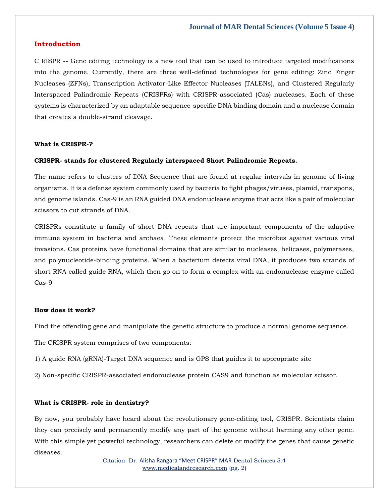# **Introduction**

C RISPR -- Gene editing technology is a new tool that can be used to introduce targeted modifications into the genome. Currently, there are three well-defined technologies for gene editing: Zinc Finger Nucleases (ZFNs), Transcription Activator-Like Effector Nucleases (TALENs), and Clustered Regularly Interspaced Palindromic Repeats (CRISPRs) with CRISPR-associated (Cas) nucleases. Each of these systems is characterized by an adaptable sequence-specific DNA binding domain and a nuclease domain that creates a double-strand cleavage.

#### **What is CRISPR-?**

### **CRISPR- stands for clustered Regularly interspaced Short Palindromic Repeats.**

The name refers to clusters of DNA Sequence that are found at regular intervals in genome of living organisms. It is a defense system commonly used by bacteria to fight phages/viruses, plamid, transpons, and genome islands. Cas-9 is an RNA guided DNA endonuclease enzyme that acts like a pair of molecular scissors to cut strands of DNA.

CRISPRs constitute a family of short DNA repeats that are important components of the adaptive immune system in bacteria and archaea. These elements protect the microbes against various viral invasions. Cas proteins have functional domains that are similar to nucleases, helicases, polymerases, and polynucleotide-binding proteins. When a bacterium detects viral DNA, it produces two strands of short RNA called guide RNA, which then go on to form a complex with an endonuclease enzyme called Cas-9

#### **How does it work?**

Find the offending gene and manipulate the genetic structure to produce a normal genome sequence.

The CRISPR system comprises of two components:

1) A guide RNA (gRNA)-Target DNA sequence and is GPS that guides it to appropriate site

2) Non-specific CRISPR-associated endonuclease protein CAS9 and function as molecular scissor.

#### **What is CRISPR- role in dentistry?**

By now, you probably have heard about the revolutionary gene-editing tool, CRISPR. Scientists claim they can precisely and permanently modify any part of the genome without harming any other gene. With this simple yet powerful technology, researchers can delete or modify the genes that cause genetic diseases.

> Citation: Dr. Alisha Rangara "Meet CRISPR" MAR Dental Scinces.5.4 [www.medicalandresearch.com](http://www.medicalandresearch.com/) (pg. 2)